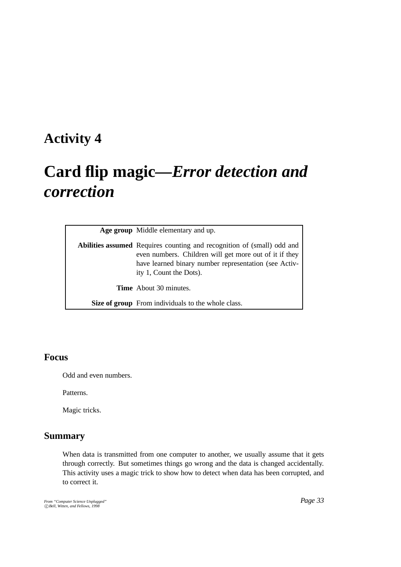## **Activity 4**

# **Card flip magic—***Error detection and correction*

| Age group Middle elementary and up.                                                                                                                                                                                         |
|-----------------------------------------------------------------------------------------------------------------------------------------------------------------------------------------------------------------------------|
| <b>Abilities assumed</b> Requires counting and recognition of (small) odd and<br>even numbers. Children will get more out of it if they<br>have learned binary number representation (see Activ-<br>ity 1, Count the Dots). |
| <b>Time</b> About 30 minutes.                                                                                                                                                                                               |
| Size of group From individuals to the whole class.                                                                                                                                                                          |

#### **Focus**

Odd and even numbers.

Patterns.

Magic tricks.

#### **Summary**

When data is transmitted from one computer to another, we usually assume that it gets through correctly. But sometimes things go wrong and the data is changed accidentally. This activity uses a magic trick to show how to detect when data has been corrupted, and to correct it.

*From "Computer Science Unplugged"* c *Bell, Witten, and Fellows, 1998*

*Page 33*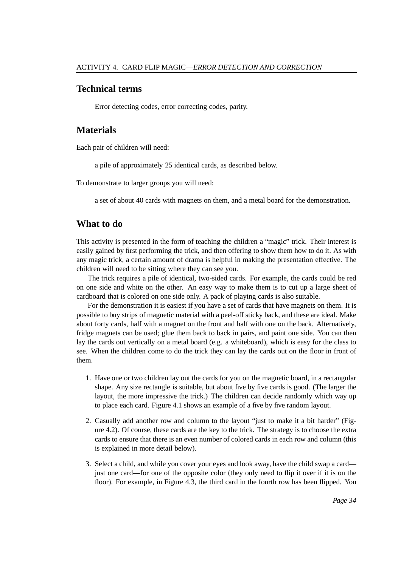#### **Technical terms**

Error detecting codes, error correcting codes, parity.

#### **Materials**

Each pair of children will need:

a pile of approximately 25 identical cards, as described below.

To demonstrate to larger groups you will need:

a set of about 40 cards with magnets on them, and a metal board for the demonstration.

#### **What to do**

This activity is presented in the form of teaching the children a "magic" trick. Their interest is easily gained by first performing the trick, and then offering to show them how to do it. As with any magic trick, a certain amount of drama is helpful in making the presentation effective. The children will need to be sitting where they can see you.

The trick requires a pile of identical, two-sided cards. For example, the cards could be red on one side and white on the other. An easy way to make them is to cut up a large sheet of cardboard that is colored on one side only. A pack of playing cards is also suitable.

For the demonstration it is easiest if you have a set of cards that have magnets on them. It is possible to buy strips of magnetic material with a peel-off sticky back, and these are ideal. Make about forty cards, half with a magnet on the front and half with one on the back. Alternatively, fridge magnets can be used; glue them back to back in pairs, and paint one side. You can then lay the cards out vertically on a metal board (e.g. a whiteboard), which is easy for the class to see. When the children come to do the trick they can lay the cards out on the floor in front of them.

- 1. Have one or two children lay out the cards for you on the magnetic board, in a rectangular shape. Any size rectangle is suitable, but about five by five cards is good. (The larger the layout, the more impressive the trick.) The children can decide randomly which way up to place each card. Figure 4.1 shows an example of a five by five random layout.
- 2. Casually add another row and column to the layout "just to make it a bit harder" (Figure 4.2). Of course, these cards are the key to the trick. The strategy is to choose the extra cards to ensure that there is an even number of colored cards in each row and column (this is explained in more detail below).
- 3. Select a child, and while you cover your eyes and look away, have the child swap a card just one card—for one of the opposite color (they only need to flip it over if it is on the floor). For example, in Figure 4.3, the third card in the fourth row has been flipped. You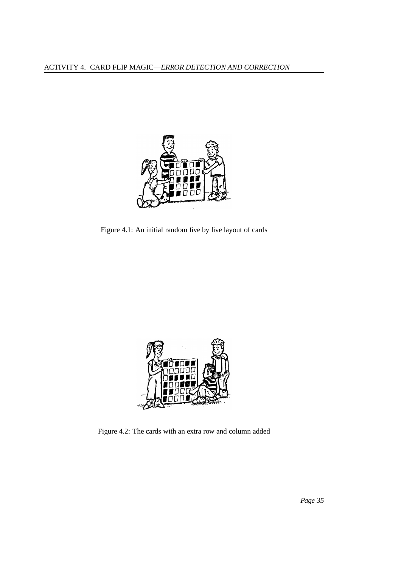

Figure 4.1: An initial random five by five layout of cards



Figure 4.2: The cards with an extra row and column added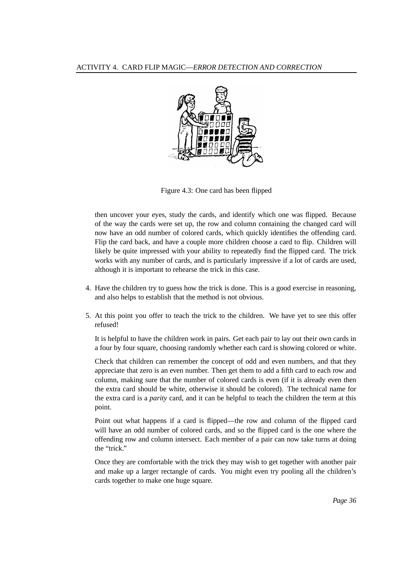

Figure 4.3: One card has been flipped

then uncover your eyes, study the cards, and identify which one was flipped. Because of the way the cards were set up, the row and column containing the changed card will now have an odd number of colored cards, which quickly identifies the offending card. Flip the card back, and have a couple more children choose a card to flip. Children will likely be quite impressed with your ability to repeatedly find the flipped card. The trick works with any number of cards, and is particularly impressive if a lot of cards are used, although it is important to rehearse the trick in this case.

- 4. Have the children try to guess how the trick is done. This is a good exercise in reasoning, and also helps to establish that the method is not obvious.
- 5. At this point you offer to teach the trick to the children. We have yet to see this offer refused!

It is helpful to have the children work in pairs. Get each pair to lay out their own cards in a four by four square, choosing randomly whether each card is showing colored or white.

Check that children can remember the concept of odd and even numbers, and that they appreciate that zero is an even number. Then get them to add a fifth card to each row and column, making sure that the number of colored cards is even (if it is already even then the extra card should be white, otherwise it should be colored). The technical name for the extra card is a *parity* card, and it can be helpful to teach the children the term at this point.

Point out what happens if a card is flipped—the row and column of the flipped card will have an odd number of colored cards, and so the flipped card is the one where the offending row and column intersect. Each member of a pair can now take turns at doing the "trick."

Once they are comfortable with the trick they may wish to get together with another pair and make up a larger rectangle of cards. You might even try pooling all the children's cards together to make one huge square.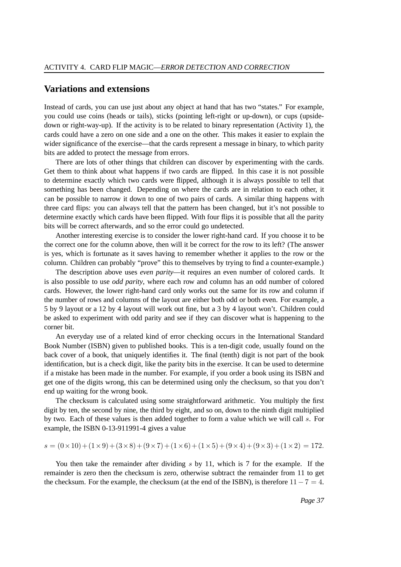#### **Variations and extensions**

Instead of cards, you can use just about any object at hand that has two "states." For example, you could use coins (heads or tails), sticks (pointing left-right or up-down), or cups (upsidedown or right-way-up). If the activity is to be related to binary representation (Activity 1), the cards could have a zero on one side and a one on the other. This makes it easier to explain the wider significance of the exercise—that the cards represent a message in binary, to which parity bits are added to protect the message from errors.

There are lots of other things that children can discover by experimenting with the cards. Get them to think about what happens if two cards are flipped. In this case it is not possible to determine exactly which two cards were flipped, although it is always possible to tell that something has been changed. Depending on where the cards are in relation to each other, it can be possible to narrow it down to one of two pairs of cards. A similar thing happens with three card flips: you can always tell that the pattern has been changed, but it's not possible to determine exactly which cards have been flipped. With four flips it is possible that all the parity bits will be correct afterwards, and so the error could go undetected.

Another interesting exercise is to consider the lower right-hand card. If you choose it to be the correct one for the column above, then will it be correct for the row to its left? (The answer is yes, which is fortunate as it saves having to remember whether it applies to the row or the column. Children can probably "prove" this to themselves by trying to find a counter-example.)

The description above uses *even parity*—it requires an even number of colored cards. It is also possible to use *odd parity*, where each row and column has an odd number of colored cards. However, the lower right-hand card only works out the same for its row and column if the number of rows and columns of the layout are either both odd or both even. For example, a 5 by 9 layout or a 12 by 4 layout will work out fine, but a 3 by 4 layout won't. Children could be asked to experiment with odd parity and see if they can discover what is happening to the corner bit.

An everyday use of a related kind of error checking occurs in the International Standard Book Number (ISBN) given to published books. This is a ten-digit code, usually found on the back cover of a book, that uniquely identifies it. The final (tenth) digit is not part of the book identification, but is a check digit, like the parity bits in the exercise. It can be used to determine if a mistake has been made in the number. For example, if you order a book using its ISBN and get one of the digits wrong, this can be determined using only the checksum, so that you don't end up waiting for the wrong book.

The checksum is calculated using some straightforward arithmetic. You multiply the first digit by ten, the second by nine, the third by eight, and so on, down to the ninth digit multiplied by two. Each of these values is then added together to form a value which we will call s. For example, the ISBN 0-13-911991-4 gives a value

$$
s = (0 \times 10) + (1 \times 9) + (3 \times 8) + (9 \times 7) + (1 \times 6) + (1 \times 5) + (9 \times 4) + (9 \times 3) + (1 \times 2) = 172.
$$

You then take the remainder after dividing  $s$  by 11, which is 7 for the example. If the remainder is zero then the checksum is zero, otherwise subtract the remainder from 11 to get the checksum. For the example, the checksum (at the end of the ISBN), is therefore  $11-7=4$ .

*Page 37*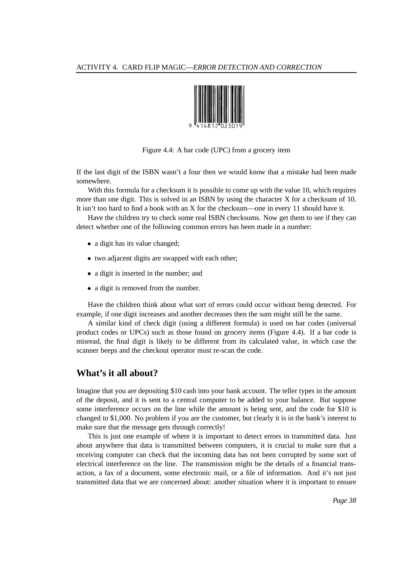

Figure 4.4: A bar code (UPC) from a grocery item

If the last digit of the ISBN wasn't a four then we would know that a mistake had been made somewhere.

With this formula for a checksum it is possible to come up with the value 10, which requires more than one digit. This is solved in an ISBN by using the character X for a checksum of 10. It isn't too hard to find a book with an X for the checksum—one in every 11 should have it.

Have the children try to check some real ISBN checksums. Now get them to see if they can detect whether one of the following common errors has been made in a number:

- a digit has its value changed;
- two adjacent digits are swapped with each other;
- a digit is inserted in the number; and
- a digit is removed from the number.

Have the children think about what sort of errors could occur without being detected. For example, if one digit increases and another decreases then the sum might still be the same.

A similar kind of check digit (using a different formula) is used on bar codes (universal product codes or UPCs) such as those found on grocery items (Figure 4.4). If a bar code is misread, the final digit is likely to be different from its calculated value, in which case the scanner beeps and the checkout operator must re-scan the code.

#### **What's it all about?**

Imagine that you are depositing \$10 cash into your bank account. The teller types in the amount of the deposit, and it is sent to a central computer to be added to your balance. But suppose some interference occurs on the line while the amount is being sent, and the code for \$10 is changed to \$1,000. No problem if you are the customer, but clearly it is in the bank's interest to make sure that the message gets through correctly!

This is just one example of where it is important to detect errors in transmitted data. Just about anywhere that data is transmitted between computers, it is crucial to make sure that a receiving computer can check that the incoming data has not been corrupted by some sort of electrical interference on the line. The transmission might be the details of a financial transaction, a fax of a document, some electronic mail, or a file of information. And it's not just transmitted data that we are concerned about: another situation where it is important to ensure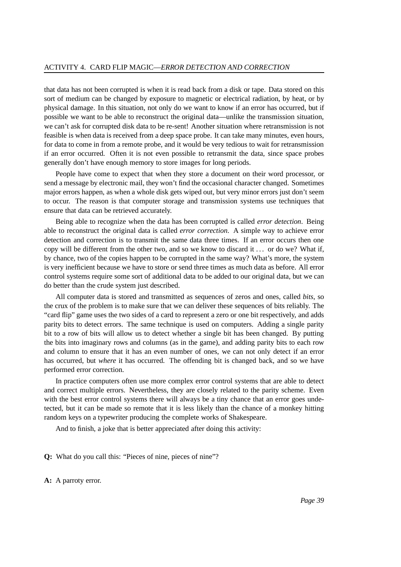that data has not been corrupted is when it is read back from a disk or tape. Data stored on this sort of medium can be changed by exposure to magnetic or electrical radiation, by heat, or by physical damage. In this situation, not only do we want to know if an error has occurred, but if possible we want to be able to reconstruct the original data—unlike the transmission situation, we can't ask for corrupted disk data to be re-sent! Another situation where retransmission is not feasible is when data is received from a deep space probe. It can take many minutes, even hours, for data to come in from a remote probe, and it would be very tedious to wait for retransmission if an error occurred. Often it is not even possible to retransmit the data, since space probes generally don't have enough memory to store images for long periods.

People have come to expect that when they store a document on their word processor, or send a message by electronic mail, they won't find the occasional character changed. Sometimes major errors happen, as when a whole disk gets wiped out, but very minor errors just don't seem to occur. The reason is that computer storage and transmission systems use techniques that ensure that data can be retrieved accurately.

Being able to recognize when the data has been corrupted is called *error detection*. Being able to reconstruct the original data is called *error correction*. A simple way to achieve error detection and correction is to transmit the same data three times. If an error occurs then one copy will be different from the other two, and so we know to discard it . . . or do we? What if, by chance, two of the copies happen to be corrupted in the same way? What's more, the system is very inefficient because we have to store or send three times as much data as before. All error control systems require some sort of additional data to be added to our original data, but we can do better than the crude system just described.

All computer data is stored and transmitted as sequences of zeros and ones, called *bits*, so the crux of the problem is to make sure that we can deliver these sequences of bits reliably. The "card flip" game uses the two sides of a card to represent a zero or one bit respectively, and adds parity bits to detect errors. The same technique is used on computers. Adding a single parity bit to a row of bits will allow us to detect whether a single bit has been changed. By putting the bits into imaginary rows and columns (as in the game), and adding parity bits to each row and column to ensure that it has an even number of ones, we can not only detect if an error has occurred, but *where* it has occurred. The offending bit is changed back, and so we have performed error correction.

In practice computers often use more complex error control systems that are able to detect and correct multiple errors. Nevertheless, they are closely related to the parity scheme. Even with the best error control systems there will always be a tiny chance that an error goes undetected, but it can be made so remote that it is less likely than the chance of a monkey hitting random keys on a typewriter producing the complete works of Shakespeare.

And to finish, a joke that is better appreciated after doing this activity:

**Q:** What do you call this: "Pieces of nine, pieces of nine"?

**A:** A parroty error.